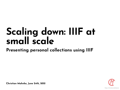# **Scaling down: IIIF at small scale**

### **Presenting personal collections using IIIF**



**Christian Mahnke, June 24th, 2021**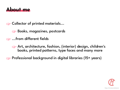

☞ Collector of printed materials...

☞ Books, magazines, postcards

☞ ...from diferent fields

☞ Art, architecture, fashion, (interior) design, children's books, printed patterns, type faces and many more

☞ Professional background in digital libraries (15+ years)

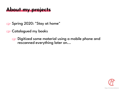## **About my projects**

☞ Spring 2020: "Stay at home"

☞ Catalogued my books

☞ Digitized some material using a mobile phone and rescanned everything later on...

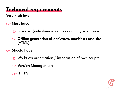## **Technical requirements**

**Very high level**

☞ Must have

☞ Low cost (only domain names and maybe storage)

☞ Ofine generation of derivates, manifests and site (HTML)

☞ Should have

☞ Workflow automation / integration of own scripts

☞ Version Management

☞ HTTPS

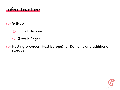### **Infrastructure**

#### ☞ GitHub

- ☞ GitHub Actions
- ☞ GitHub Pages
- ☞ Hosting provider (Host Europe) for Domains and additional storage

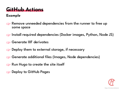## **GitHub Actions**

#### **Example**

☞ Remove unneeded dependencies from the runner to free up some space

☞ Install required dependencies (Docker images, Python, Node JS)

☞ Generate IIIF derivates

☞ Deploy them to external storage, if necessary

☞ Generate additional files (Images, Node dependencies)

☞ Run Hugo to create the site itself

☞ Deploy to GitHub Pages

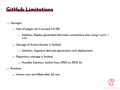## **GitHub Limitations**

☞ Storage!

☞ Size of pages can't exceed 3.5 GB

☞ Solution: Deploy generated derivates somewhere else using rsync / ssh

**EXTED Storage of Action Runner is limited** 

☞ Solution: Segment derivate generation and deployment

ra Repository storage is limited

reader Possible Solution: Switch from JPEG to JPEG XL

☞ Runtime

**EXED Action runs are killed after 60 min** 

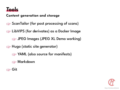

#### **Content generation and storage**

☞ ScanTailor (for post processing of scans)

ra LibVIPS (for derivates) as a Docker Image

☞ JPEG Images (JPEG XL Demo working)

☞ Hugo (static site generator)

**EXAML** (also source for manifests)

☞ Markdown

☞ Git

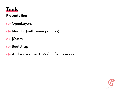

#### **Presentation**

☞ OpenLayers

☞ Mirador (with some patches)

☞ jQuery

☞ Bootstrap

☞ And some other CSS / JS frameworks

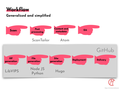

#### **Generalized and simplified**

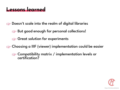### **Lessons learned**

☞ Doesn't scale into the realm of digital libraries

☞ But good enough for personal collections!

**Sect solution for experiments** 

☞ Choosing a IIIF (viewer) implementation could be easier

☞ Compatibility matrix / implementation levels or certification?

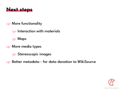

#### ☞ More functionality

☞ Interaction with materials

☞ Maps

☞ More media types

**Stereoscopic images** 

☞ Better metadata - for data donation to WikiSource

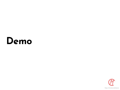## **Demo**